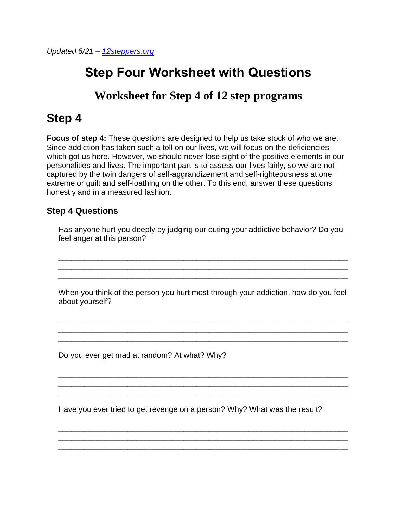*Updated 6/21 – [12steppers.org](https://12steppers.org/?utm_source=12-step-worksheet)*

## **Step Four Worksheet with Questions**

## **Worksheet for Step 4 of 12 step programs**

## **Step 4**

**Focus of step 4:** These questions are designed to help us take stock of who we are. Since addiction has taken such a toll on our lives, we will focus on the deficiencies which got us here. However, we should never lose sight of the positive elements in our personalities and lives. The important part is to assess our lives fairly, so we are not captured by the twin dangers of self-aggrandizement and self-righteousness at one extreme or guilt and self-loathing on the other. To this end, answer these questions honestly and in a measured fashion.

## **Step 4 Questions**

Has anyone hurt you deeply by judging our outing your addictive behavior? Do you feel anger at this person?

\_\_\_\_\_\_\_\_\_\_\_\_\_\_\_\_\_\_\_\_\_\_\_\_\_\_\_\_\_\_\_\_\_\_\_\_\_\_\_\_\_\_\_\_\_\_\_\_\_\_\_\_\_\_\_\_\_\_\_\_\_\_\_\_\_\_\_ \_\_\_\_\_\_\_\_\_\_\_\_\_\_\_\_\_\_\_\_\_\_\_\_\_\_\_\_\_\_\_\_\_\_\_\_\_\_\_\_\_\_\_\_\_\_\_\_\_\_\_\_\_\_\_\_\_\_\_\_\_\_\_\_\_\_\_ \_\_\_\_\_\_\_\_\_\_\_\_\_\_\_\_\_\_\_\_\_\_\_\_\_\_\_\_\_\_\_\_\_\_\_\_\_\_\_\_\_\_\_\_\_\_\_\_\_\_\_\_\_\_\_\_\_\_\_\_\_\_\_\_\_\_\_

When you think of the person you hurt most through your addiction, how do you feel about yourself?

\_\_\_\_\_\_\_\_\_\_\_\_\_\_\_\_\_\_\_\_\_\_\_\_\_\_\_\_\_\_\_\_\_\_\_\_\_\_\_\_\_\_\_\_\_\_\_\_\_\_\_\_\_\_\_\_\_\_\_\_\_\_\_\_\_\_\_

\_\_\_\_\_\_\_\_\_\_\_\_\_\_\_\_\_\_\_\_\_\_\_\_\_\_\_\_\_\_\_\_\_\_\_\_\_\_\_\_\_\_\_\_\_\_\_\_\_\_\_\_\_\_\_\_\_\_\_\_\_\_\_\_\_\_\_

\_\_\_\_\_\_\_\_\_\_\_\_\_\_\_\_\_\_\_\_\_\_\_\_\_\_\_\_\_\_\_\_\_\_\_\_\_\_\_\_\_\_\_\_\_\_\_\_\_\_\_\_\_\_\_\_\_\_\_\_\_\_\_\_\_\_\_ \_\_\_\_\_\_\_\_\_\_\_\_\_\_\_\_\_\_\_\_\_\_\_\_\_\_\_\_\_\_\_\_\_\_\_\_\_\_\_\_\_\_\_\_\_\_\_\_\_\_\_\_\_\_\_\_\_\_\_\_\_\_\_\_\_\_\_ \_\_\_\_\_\_\_\_\_\_\_\_\_\_\_\_\_\_\_\_\_\_\_\_\_\_\_\_\_\_\_\_\_\_\_\_\_\_\_\_\_\_\_\_\_\_\_\_\_\_\_\_\_\_\_\_\_\_\_\_\_\_\_\_\_\_\_

\_\_\_\_\_\_\_\_\_\_\_\_\_\_\_\_\_\_\_\_\_\_\_\_\_\_\_\_\_\_\_\_\_\_\_\_\_\_\_\_\_\_\_\_\_\_\_\_\_\_\_\_\_\_\_\_\_\_\_\_\_\_\_\_\_\_\_ \_\_\_\_\_\_\_\_\_\_\_\_\_\_\_\_\_\_\_\_\_\_\_\_\_\_\_\_\_\_\_\_\_\_\_\_\_\_\_\_\_\_\_\_\_\_\_\_\_\_\_\_\_\_\_\_\_\_\_\_\_\_\_\_\_\_\_ \_\_\_\_\_\_\_\_\_\_\_\_\_\_\_\_\_\_\_\_\_\_\_\_\_\_\_\_\_\_\_\_\_\_\_\_\_\_\_\_\_\_\_\_\_\_\_\_\_\_\_\_\_\_\_\_\_\_\_\_\_\_\_\_\_\_\_

Do you ever get mad at random? At what? Why?

Have you ever tried to get revenge on a person? Why? What was the result?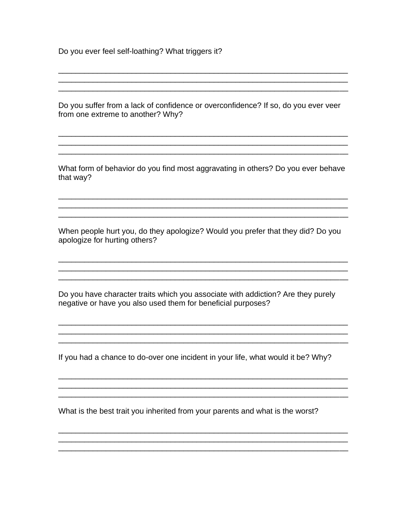Do you ever feel self-loathing? What triggers it?

Do you suffer from a lack of confidence or overconfidence? If so, do you ever veer from one extreme to another? Why?

<u> 1980 - Johann Barn, amerikan bernama di sebagai bernama di sebagai bernama di sebagai bernama di sebagai ber</u>

What form of behavior do you find most aggravating in others? Do you ever behave that way?

When people hurt you, do they apologize? Would you prefer that they did? Do you apologize for hurting others?

Do you have character traits which you associate with addiction? Are they purely negative or have you also used them for beneficial purposes?

If you had a chance to do-over one incident in your life, what would it be? Why?

What is the best trait you inherited from your parents and what is the worst?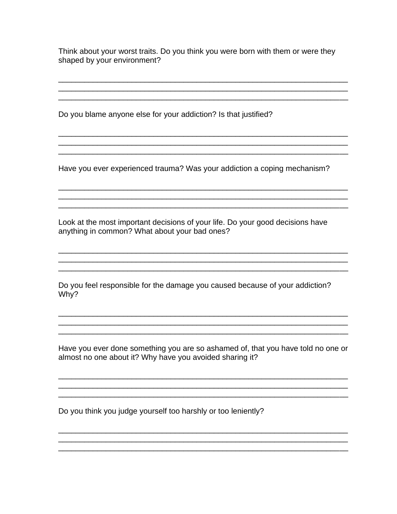Think about your worst traits. Do you think you were born with them or were they shaped by your environment?

Do you blame anyone else for your addiction? Is that justified?

Have you ever experienced trauma? Was your addiction a coping mechanism?

Look at the most important decisions of your life. Do your good decisions have anything in common? What about your bad ones?

Do you feel responsible for the damage you caused because of your addiction? Why?

Have you ever done something you are so ashamed of, that you have told no one or almost no one about it? Why have you avoided sharing it?

Do you think you judge yourself too harshly or too leniently?